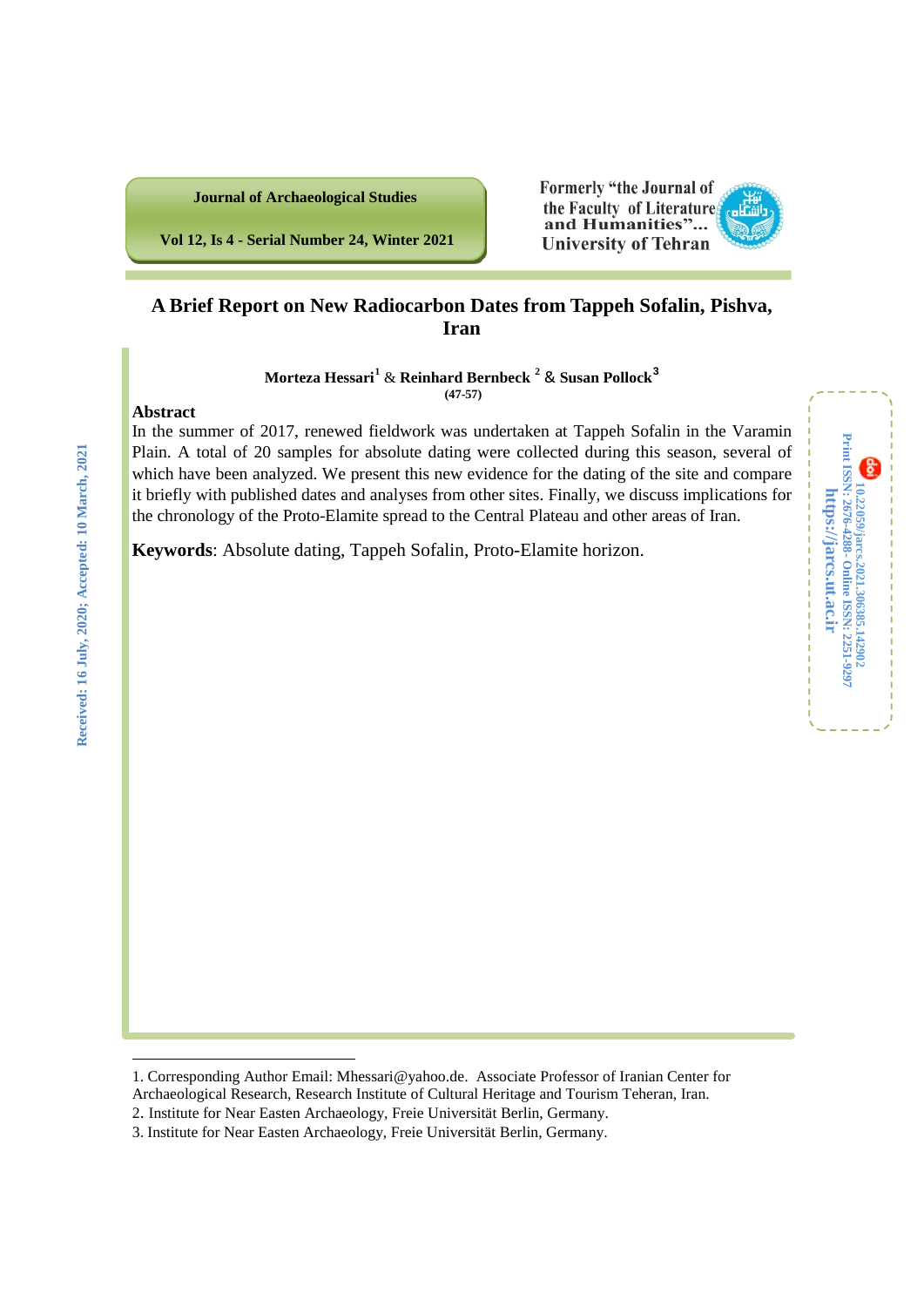

**Vol 12, Is 4 - Serial Number 24, Winter 2021**

# **A Brief Report on New Radiocarbon Dates from Tappeh Sofalin, Pishva, Iran**

**Formerly "the Journal of** the Faculty of Literature and Humanities"... **University of Tehran** 

**Morteza Hessari[1](#page-0-0)** & **Reinhard Bernbeck [2](#page-0-1)** & **Susan Pollock[3](#page-0-2) (47-57)**

### **Abstract**

In the summer of 2017, renewed fieldwork was undertaken at Tappeh Sofalin in the Varamin Plain. A total of 20 samples for absolute dating were collected during this season, several of which have been analyzed. We present this new evidence for the dating of the site and compare it briefly with published dates and analyses from other sites. Finally, we discuss implications for the chronology of the Proto-Elamite spread to the Central Plateau and other areas of Iran.

**10.22059/jarcs.2021.306385.142902**

10.22059/jarcs.2021.306385.142902<br>Print ISSN: 2676-4288 - Online ISSN: 2251-9297

**Online ISSN: 2251-9297**

**https://jarcs.ut.ac.ir**

https://jarcs.ut.ac.ir

**Print ISSN: 2676-4288-**

8

**Keywords**: Absolute dating, Tappeh Sofalin, Proto-Elamite horizon.

<span id="page-0-0"></span>

<span id="page-0-1"></span><sup>2.</sup> Institute for Near Easten Archaeology, Freie Universität Berlin, Germany.

<span id="page-0-2"></span><sup>3</sup>. Institute for Near Easten Archaeology, Freie Universität Berlin, Germany.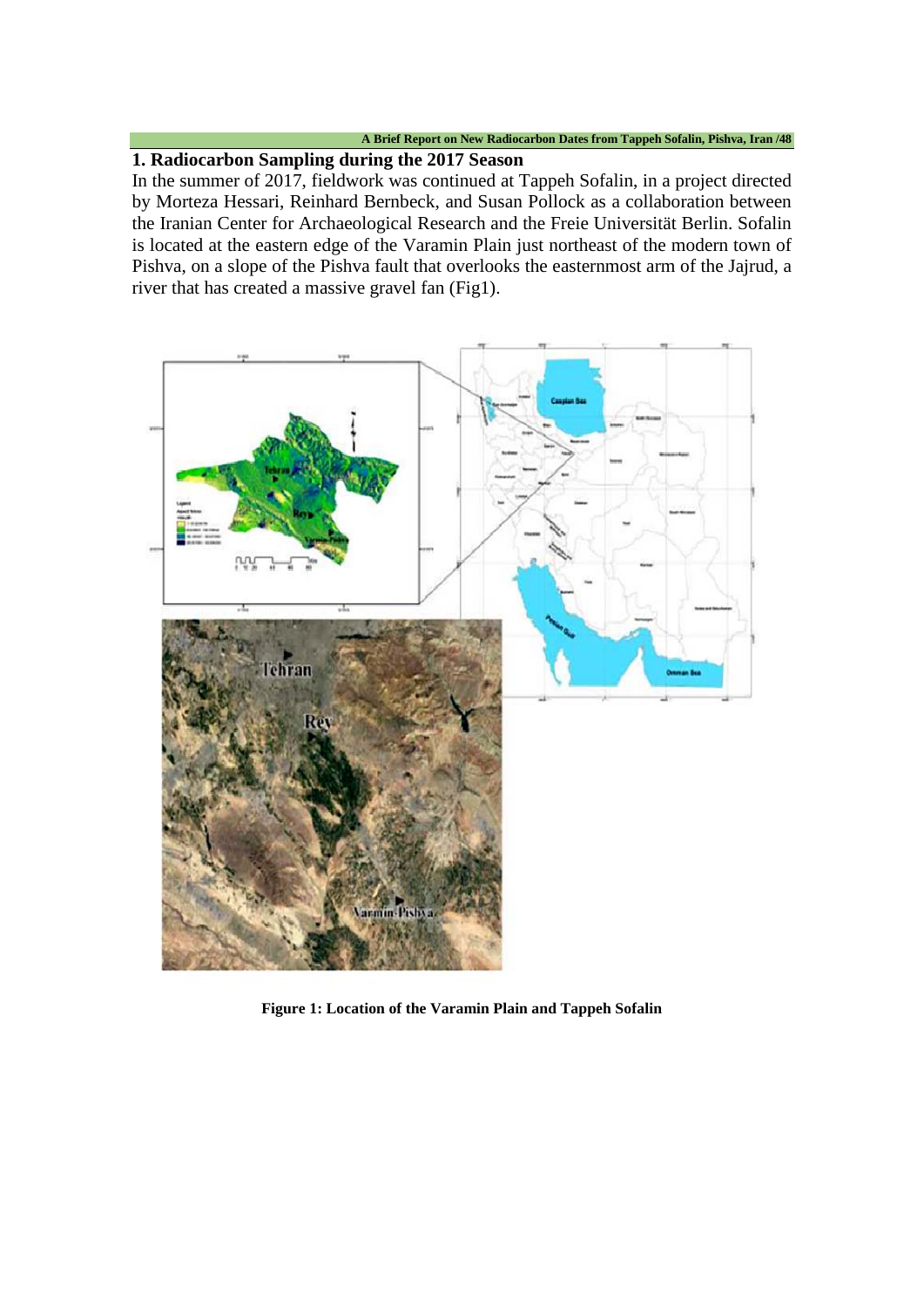# **1. Radiocarbon Sampling during the 2017 Season**

In the summer of 2017, fieldwork was continued at Tappeh Sofalin, in a project directed by Morteza Hessari, Reinhard Bernbeck, and Susan Pollock as a collaboration between the Iranian Center for Archaeological Research and the Freie Universität Berlin. Sofalin is located at the eastern edge of the Varamin Plain just northeast of the modern town of Pishva, on a slope of the Pishva fault that overlooks the easternmost arm of the Jajrud, a river that has created a massive gravel fan (Fig1).



**Figure 1: Location of the Varamin Plain and Tappeh Sofalin**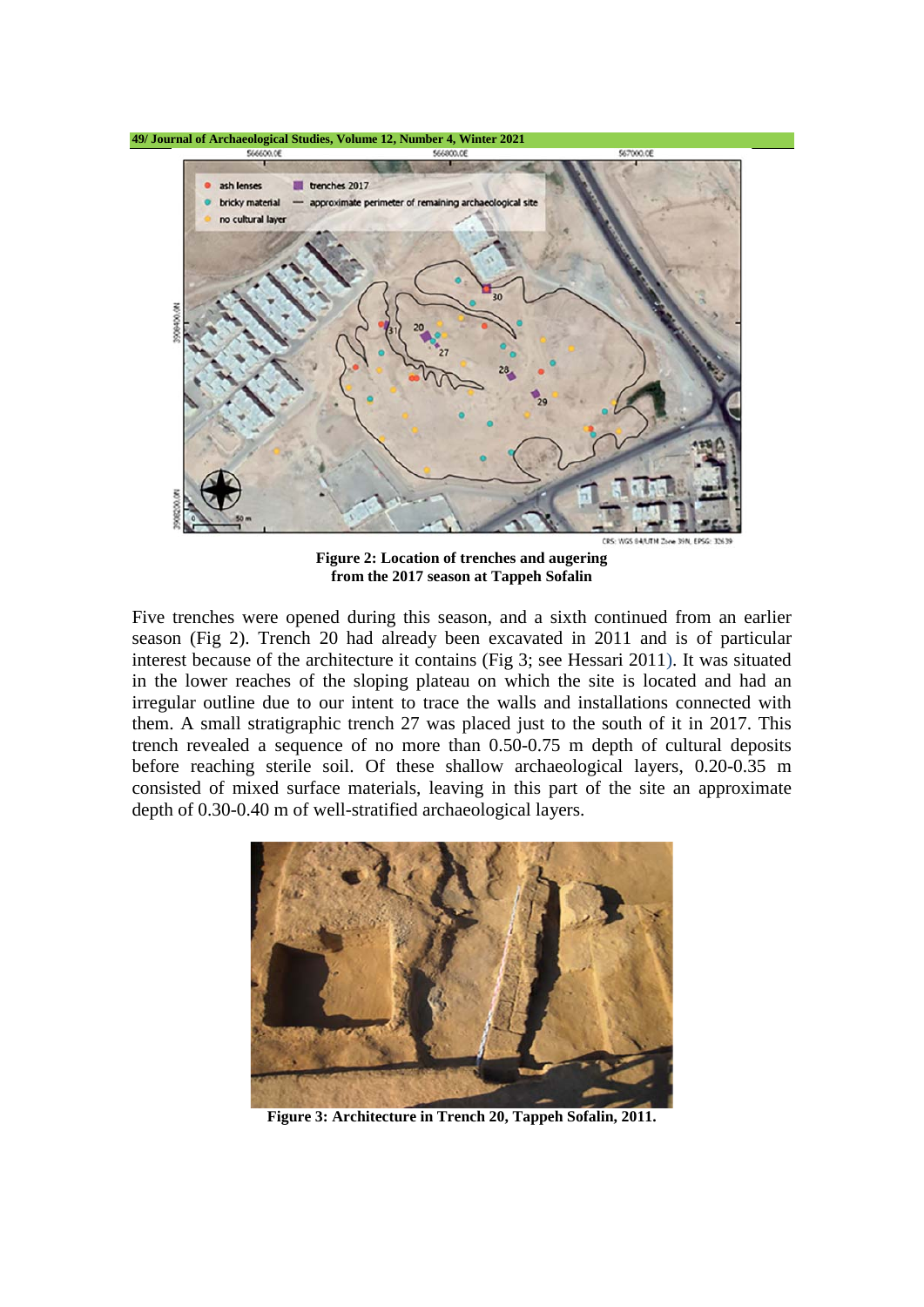

**Figure 2: Location of trenches and augering from the 2017 season at Tappeh Sofalin**

Five trenches were opened during this season, and a sixth continued from an earlier season (Fig 2). Trench 20 had already been excavated in 2011 and is of particular interest because of the architecture it contains (Fig 3; see Hessari 2011). It was situated in the lower reaches of the sloping plateau on which the site is located and had an irregular outline due to our intent to trace the walls and installations connected with them. A small stratigraphic trench 27 was placed just to the south of it in 2017. This trench revealed a sequence of no more than 0.50-0.75 m depth of cultural deposits before reaching sterile soil. Of these shallow archaeological layers, 0.20-0.35 m consisted of mixed surface materials, leaving in this part of the site an approximate depth of 0.30-0.40 m of well-stratified archaeological layers.



**Figure 3: Architecture in Trench 20, Tappeh Sofalin, 2011.**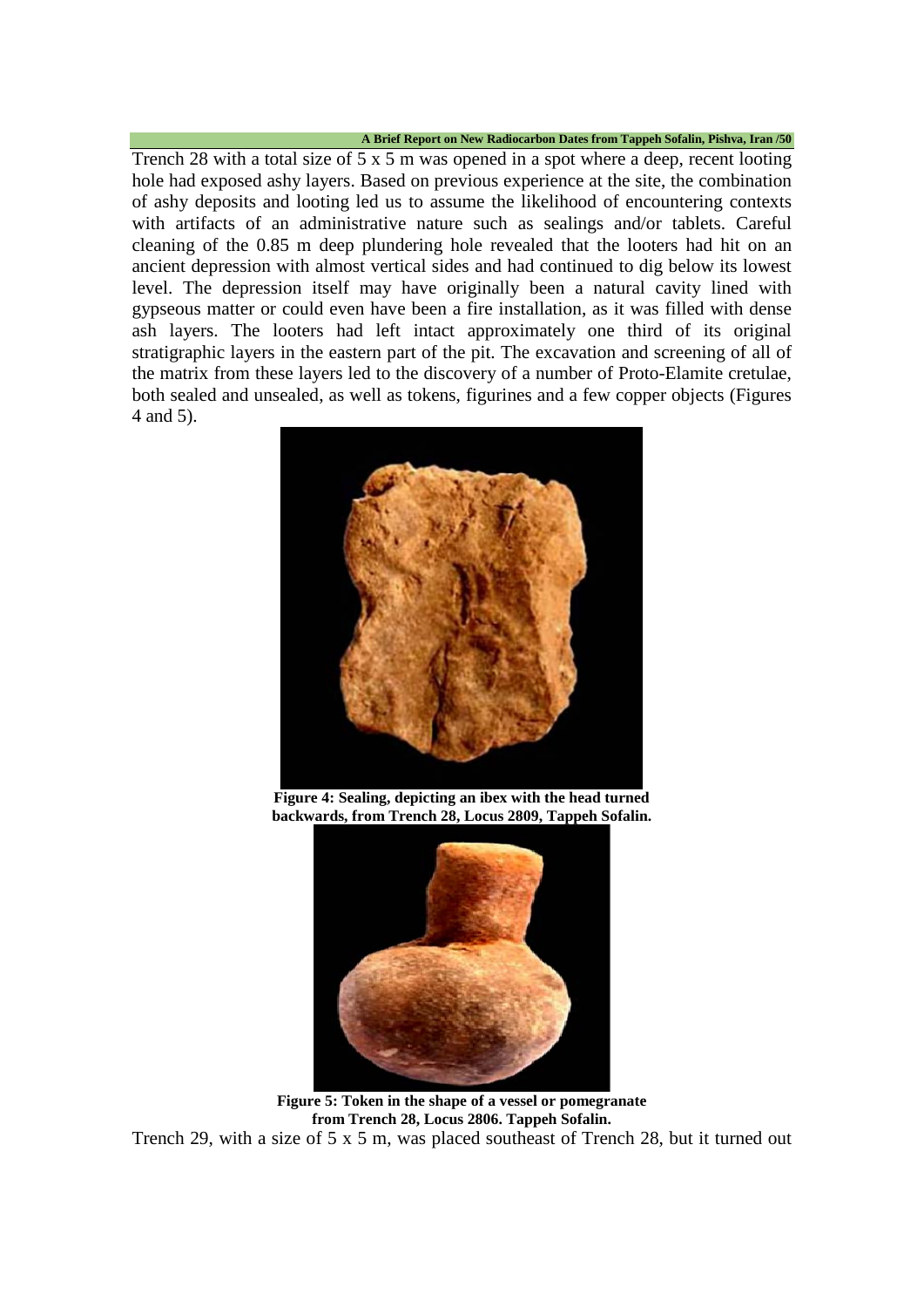Trench 28 with a total size of 5 x 5 m was opened in a spot where a deep, recent looting hole had exposed ashy layers. Based on previous experience at the site, the combination of ashy deposits and looting led us to assume the likelihood of encountering contexts with artifacts of an administrative nature such as sealings and/or tablets. Careful cleaning of the 0.85 m deep plundering hole revealed that the looters had hit on an ancient depression with almost vertical sides and had continued to dig below its lowest level. The depression itself may have originally been a natural cavity lined with gypseous matter or could even have been a fire installation, as it was filled with dense ash layers. The looters had left intact approximately one third of its original stratigraphic layers in the eastern part of the pit. The excavation and screening of all of the matrix from these layers led to the discovery of a number of Proto-Elamite cretulae, both sealed and unsealed, as well as tokens, figurines and a few copper objects (Figures 4 and 5).



**Figure 4: Sealing, depicting an ibex with the head turned backwards, from Trench 28, Locus 2809, Tappeh Sofalin.**



**Figure 5: Token in the shape of a vessel or pomegranate from Trench 28, Locus 2806. Tappeh Sofalin.** Trench 29, with a size of 5 x 5 m, was placed southeast of Trench 28, but it turned out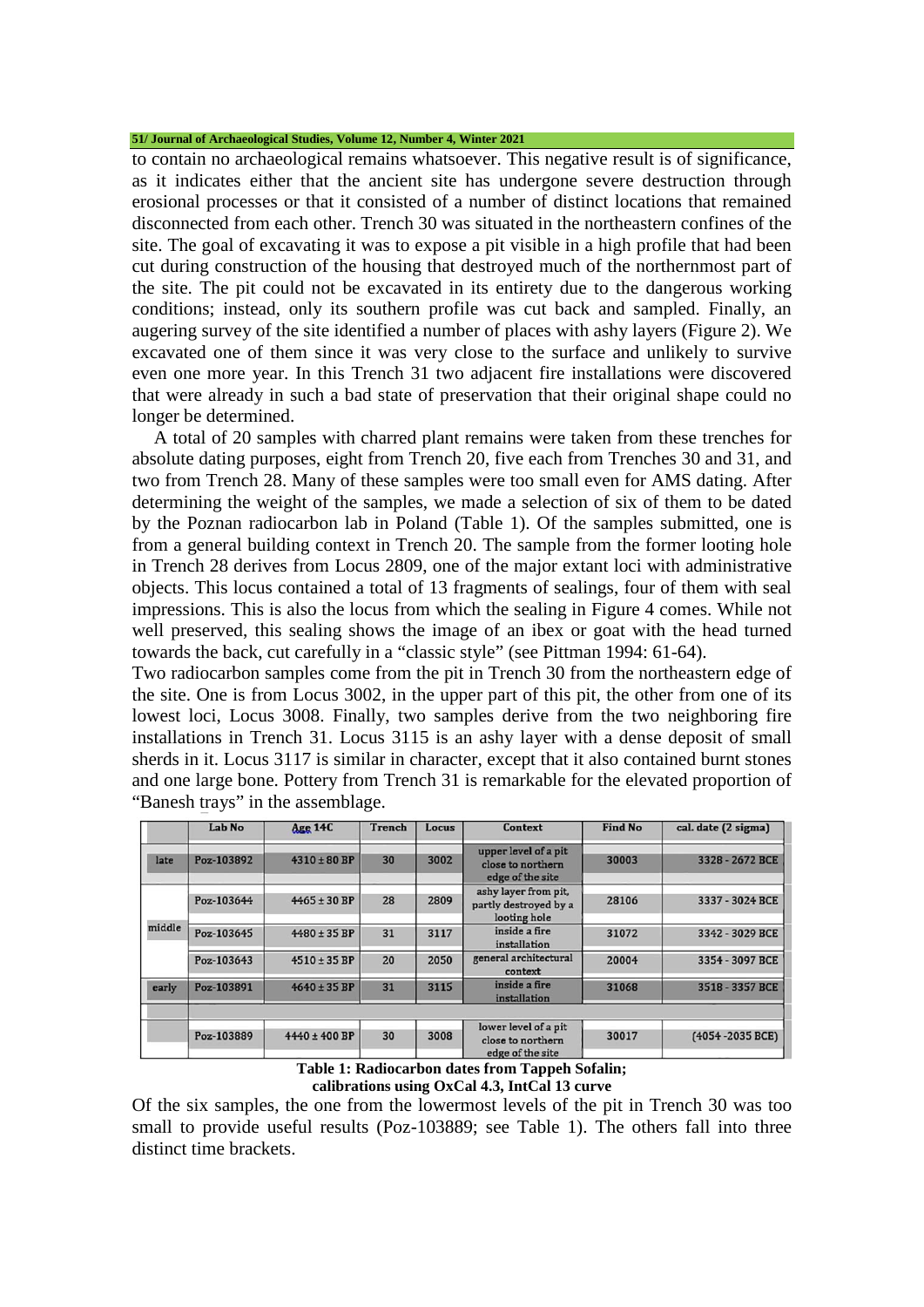to contain no archaeological remains whatsoever. This negative result is of significance, as it indicates either that the ancient site has undergone severe destruction through erosional processes or that it consisted of a number of distinct locations that remained disconnected from each other. Trench 30 was situated in the northeastern confines of the site. The goal of excavating it was to expose a pit visible in a high profile that had been cut during construction of the housing that destroyed much of the northernmost part of the site. The pit could not be excavated in its entirety due to the dangerous working conditions; instead, only its southern profile was cut back and sampled. Finally, an augering survey of the site identified a number of places with ashy layers (Figure 2). We excavated one of them since it was very close to the surface and unlikely to survive even one more year. In this Trench 31 two adjacent fire installations were discovered that were already in such a bad state of preservation that their original shape could no longer be determined.

A total of 20 samples with charred plant remains were taken from these trenches for absolute dating purposes, eight from Trench 20, five each from Trenches 30 and 31, and two from Trench 28. Many of these samples were too small even for AMS dating. After determining the weight of the samples, we made a selection of six of them to be dated by the Poznan radiocarbon lab in Poland (Table 1). Of the samples submitted, one is from a general building context in Trench 20. The sample from the former looting hole in Trench 28 derives from Locus 2809, one of the major extant loci with administrative objects. This locus contained a total of 13 fragments of sealings, four of them with seal impressions. This is also the locus from which the sealing in Figure 4 comes. While not well preserved, this sealing shows the image of an ibex or goat with the head turned towards the back, cut carefully in a "classic style" (see Pittman 1994: 61-64).

Two radiocarbon samples come from the pit in Trench 30 from the northeastern edge of the site. One is from Locus 3002, in the upper part of this pit, the other from one of its lowest loci, Locus 3008. Finally, two samples derive from the two neighboring fire installations in Trench 31. Locus 3115 is an ashy layer with a dense deposit of small sherds in it. Locus 3117 is similar in character, except that it also contained burnt stones and one large bone. Pottery from Trench 31 is remarkable for the elevated proportion of "Banesh trays" in the assemblage.

|        | Lab No     | <b>Age 14C</b>    | <b>Trench</b> | Locus | Context                                                       | <b>Find No</b> | cal. date (2 sigma) |  |
|--------|------------|-------------------|---------------|-------|---------------------------------------------------------------|----------------|---------------------|--|
| late   | Poz-103892 | $4310 \pm 80$ BP  | 30            | 3002  | upper level of a pit<br>close to northern<br>edge of the site | 30003          | 3328 - 2672 BCE     |  |
|        | Poz-103644 | $4465 \pm 30$ BP  | 28            | 2809  | ashy layer from pit,<br>partly destroyed by a<br>looting hole | 28106          | 3337 - 3024 BCE     |  |
| middle | Poz-103645 | $4480 \pm 35$ BP  | 31            | 3117  | inside a fire<br>installation                                 | 31072          | 3342 - 3029 BCE     |  |
|        | Poz-103643 | $4510 \pm 35$ BP  | 20            | 2050  | general architectural<br>context                              | 20004          | 3354 - 3097 BCE     |  |
| early  | Poz-103891 | $4640 \pm 35$ BP  | 31            | 3115  | inside a fire<br>installation                                 | 31068          | 3518 - 3357 BCE     |  |
|        |            |                   |               |       |                                                               |                |                     |  |
|        | Poz-103889 | $4440 \pm 400$ BP | 30            | 3008  | lower level of a pit<br>close to northern<br>edge of the site | 30017          | (4054-2035 BCE)     |  |

**Table 1: Radiocarbon dates from Tappeh Sofalin; calibrations using OxCal 4.3, IntCal 13 curve**

Of the six samples, the one from the lowermost levels of the pit in Trench 30 was too small to provide useful results (Poz-103889; see Table 1). The others fall into three distinct time brackets.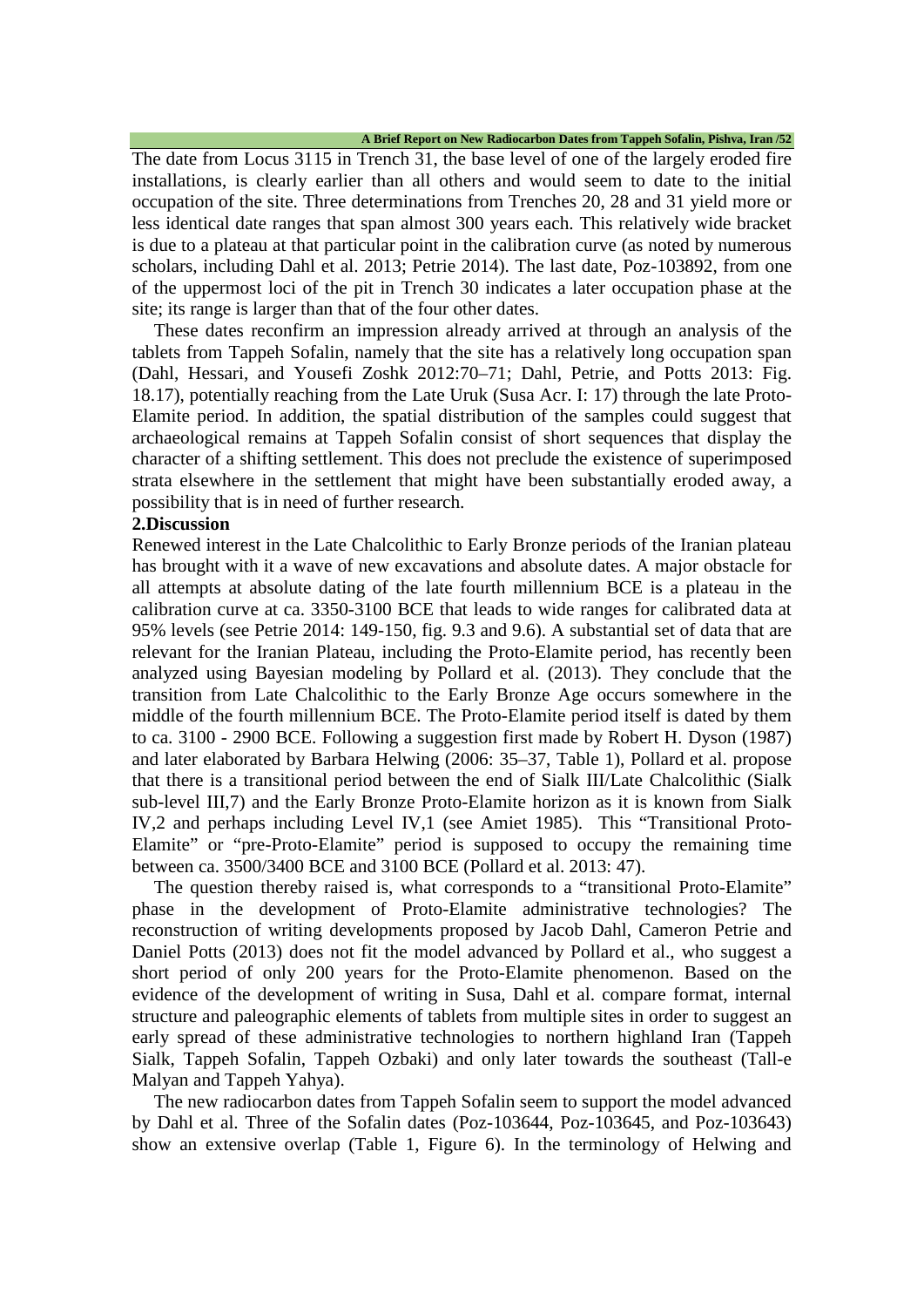The date from Locus 3115 in Trench 31, the base level of one of the largely eroded fire installations, is clearly earlier than all others and would seem to date to the initial occupation of the site. Three determinations from Trenches 20, 28 and 31 yield more or less identical date ranges that span almost 300 years each. This relatively wide bracket is due to a plateau at that particular point in the calibration curve (as noted by numerous scholars, including Dahl et al. 2013; Petrie 2014). The last date, Poz-103892, from one of the uppermost loci of the pit in Trench 30 indicates a later occupation phase at the site; its range is larger than that of the four other dates.

These dates reconfirm an impression already arrived at through an analysis of the tablets from Tappeh Sofalin, namely that the site has a relatively long occupation span (Dahl, Hessari, and Yousefi Zoshk 2012:70–71; Dahl, Petrie, and Potts 2013: Fig. 18.17), potentially reaching from the Late Uruk (Susa Acr. I: 17) through the late Proto-Elamite period. In addition, the spatial distribution of the samples could suggest that archaeological remains at Tappeh Sofalin consist of short sequences that display the character of a shifting settlement. This does not preclude the existence of superimposed strata elsewhere in the settlement that might have been substantially eroded away, a possibility that is in need of further research.

# **2.Discussion**

Renewed interest in the Late Chalcolithic to Early Bronze periods of the Iranian plateau has brought with it a wave of new excavations and absolute dates. A major obstacle for all attempts at absolute dating of the late fourth millennium BCE is a plateau in the calibration curve at ca. 3350-3100 BCE that leads to wide ranges for calibrated data at 95% levels (see Petrie 2014: 149-150, fig. 9.3 and 9.6). A substantial set of data that are relevant for the Iranian Plateau, including the Proto-Elamite period, has recently been analyzed using Bayesian modeling by Pollard et al. (2013). They conclude that the transition from Late Chalcolithic to the Early Bronze Age occurs somewhere in the middle of the fourth millennium BCE. The Proto-Elamite period itself is dated by them to ca. 3100 - 2900 BCE. Following a suggestion first made by Robert H. Dyson (1987) and later elaborated by Barbara Helwing (2006: 35–37, Table 1), Pollard et al. propose that there is a transitional period between the end of Sialk III/Late Chalcolithic (Sialk sub-level III,7) and the Early Bronze Proto-Elamite horizon as it is known from Sialk IV,2 and perhaps including Level IV,1 (see Amiet 1985). This "Transitional Proto-Elamite" or "pre-Proto-Elamite" period is supposed to occupy the remaining time between ca. 3500/3400 BCE and 3100 BCE (Pollard et al. 2013: 47).

The question thereby raised is, what corresponds to a "transitional Proto-Elamite" phase in the development of Proto-Elamite administrative technologies? The reconstruction of writing developments proposed by Jacob Dahl, Cameron Petrie and Daniel Potts (2013) does not fit the model advanced by Pollard et al., who suggest a short period of only 200 years for the Proto-Elamite phenomenon. Based on the evidence of the development of writing in Susa, Dahl et al. compare format, internal structure and paleographic elements of tablets from multiple sites in order to suggest an early spread of these administrative technologies to northern highland Iran (Tappeh Sialk, Tappeh Sofalin, Tappeh Ozbaki) and only later towards the southeast (Tall-e Malyan and Tappeh Yahya).

The new radiocarbon dates from Tappeh Sofalin seem to support the model advanced by Dahl et al. Three of the Sofalin dates (Poz-103644, Poz-103645, and Poz-103643) show an extensive overlap (Table 1, Figure 6). In the terminology of Helwing and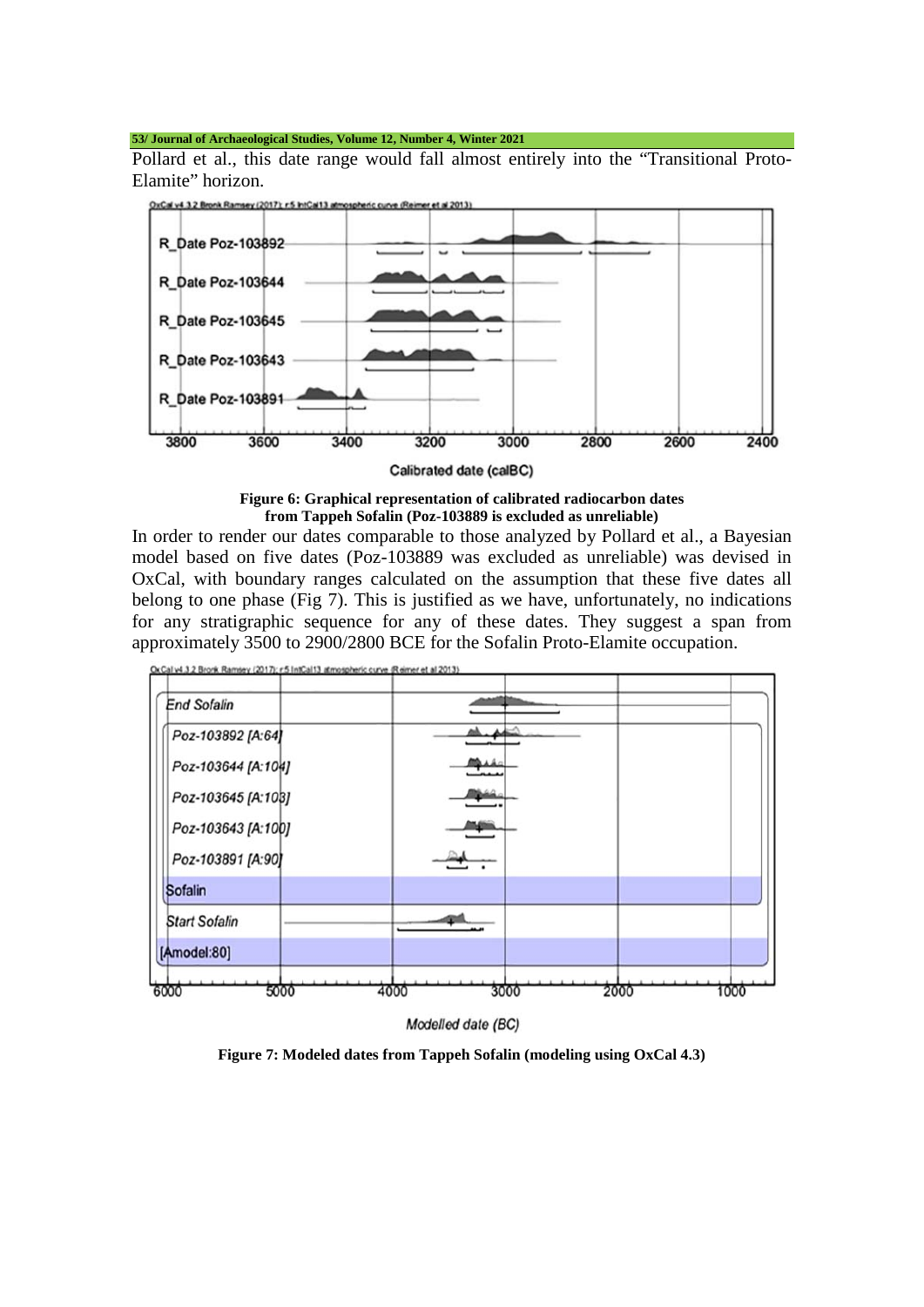Pollard et al., this date range would fall almost entirely into the "Transitional Proto-Elamite" horizon.



Calibrated date (calBC)

### **Figure 6: Graphical representation of calibrated radiocarbon dates from Tappeh Sofalin (Poz-103889 is excluded as unreliable)**

In order to render our dates comparable to those analyzed by Pollard et al., a Bayesian model based on five dates (Poz-103889 was excluded as unreliable) was devised in OxCal, with boundary ranges calculated on the assumption that these five dates all belong to one phase (Fig 7). This is justified as we have, unfortunately, no indications for any stratigraphic sequence for any of these dates. They suggest a span from approximately 3500 to 2900/2800 BCE for the Sofalin Proto-Elamite occupation.



Modelled date (BC)

**Figure 7: Modeled dates from Tappeh Sofalin (modeling using OxCal 4.3)**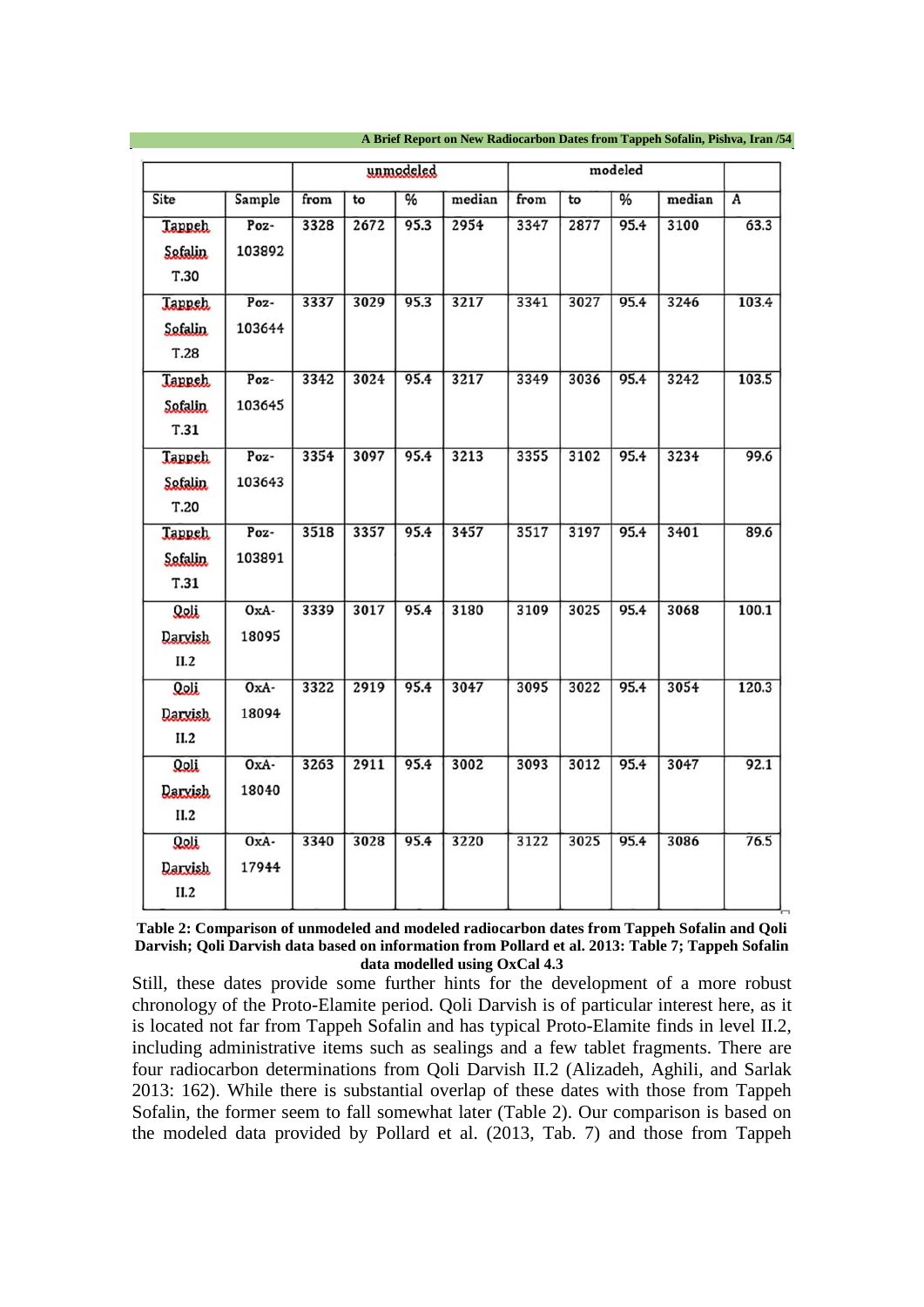|                                  |                 |      |      | unmodeled     |        |      |      | modeled |        |                |
|----------------------------------|-----------------|------|------|---------------|--------|------|------|---------|--------|----------------|
| Site                             | Sample          | from | to   | $\frac{9}{6}$ | median | from | to   | %       | median | $\overline{A}$ |
| <b>Tappeh</b><br>Sefalin<br>T.30 | Poz-<br>103892  | 3328 | 2672 | 95.3          | 2954   | 3347 | 2877 | 95.4    | 3100   | 63.3           |
| <b>Tappeh</b><br>Sofalin<br>T.28 | Poz-<br>103644  | 3337 | 3029 | 95.3          | 3217   | 3341 | 3027 | 95.4    | 3246   | 103.4          |
| <b>Tappeh</b><br>Sofalin<br>T.31 | Poz-<br>103645  | 3342 | 3024 | 95.4          | 3217   | 3349 | 3036 | 95.4    | 3242   | 103.5          |
| <b>Tappeh</b><br>Sefalin<br>T.20 | Poz-<br>103643  | 3354 | 3097 | 95.4          | 3213   | 3355 | 3102 | 95.4    | 3234   | 99.6           |
| <b>Tappeh</b><br>Safalin<br>T.31 | Poz-<br>103891  | 3518 | 3357 | 95.4          | 3457   | 3517 | 3197 | 95.4    | 3401   | 89.6           |
| Qoli<br><b>Darxish</b><br>II.2   | $OxA-$<br>18095 | 3339 | 3017 | 95.4          | 3180   | 3109 | 3025 | 95.4    | 3068   | 100.1          |
| Qoli<br><b>Darxish</b><br>II.2   | OxA-<br>18094   | 3322 | 2919 | 95.4          | 3047   | 3095 | 3022 | 95.4    | 3054   | 120.3          |
| Qoli<br><b>Darxish</b><br>II.2   | $OxA-$<br>18040 | 3263 | 2911 | 95.4          | 3002   | 3093 | 3012 | 95.4    | 3047   | 92.1           |
| Qoli<br><b>Darxish</b><br>II.2   | $OxA-$<br>17944 | 3340 | 3028 | 95.4          | 3220   | 3122 | 3025 | 95.4    | 3086   | 76.5           |

| Table 2: Comparison of unmodeled and modeled radiocarbon dates from Tappeh Sofalin and Qoli       |
|---------------------------------------------------------------------------------------------------|
| Darvish; Qoli Darvish data based on information from Pollard et al. 2013: Table 7; Tappeh Sofalin |
| data modelled using OxCal 4.3                                                                     |

Still, these dates provide some further hints for the development of a more robust chronology of the Proto-Elamite period. Qoli Darvish is of particular interest here, as it is located not far from Tappeh Sofalin and has typical Proto-Elamite finds in level II.2, including administrative items such as sealings and a few tablet fragments. There are four radiocarbon determinations from Qoli Darvish II.2 (Alizadeh, Aghili, and Sarlak 2013: 162). While there is substantial overlap of these dates with those from Tappeh Sofalin, the former seem to fall somewhat later (Table 2). Our comparison is based on the modeled data provided by Pollard et al. (2013, Tab. 7) and those from Tappeh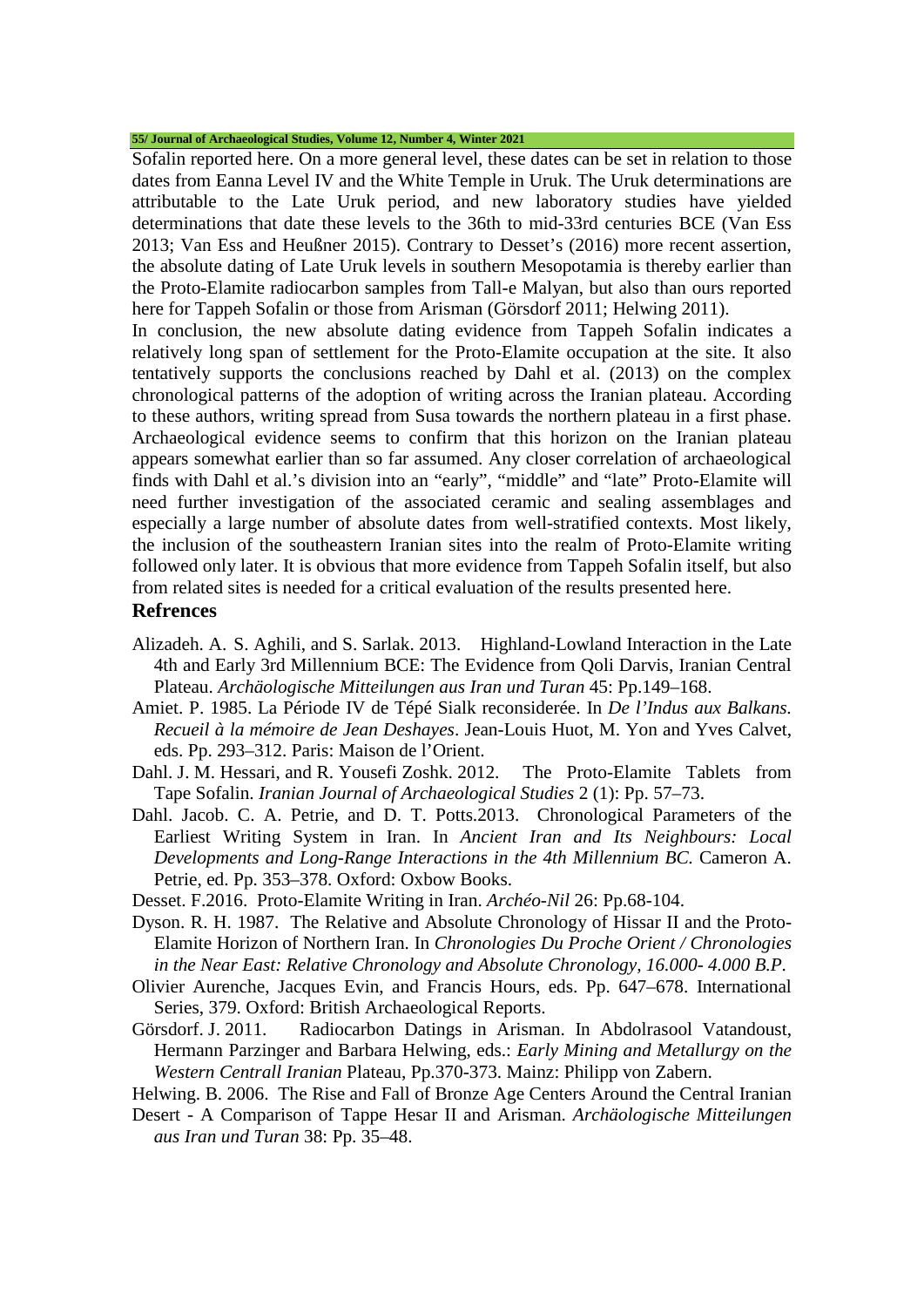Sofalin reported here. On a more general level, these dates can be set in relation to those dates from Eanna Level IV and the White Temple in Uruk. The Uruk determinations are attributable to the Late Uruk period, and new laboratory studies have yielded determinations that date these levels to the 36th to mid-33rd centuries BCE (Van Ess 2013; Van Ess and Heußner 2015). Contrary to Desset's (2016) more recent assertion, the absolute dating of Late Uruk levels in southern Mesopotamia is thereby earlier than the Proto-Elamite radiocarbon samples from Tall-e Malyan, but also than ours reported here for Tappeh Sofalin or those from Arisman (Görsdorf 2011; Helwing 2011).

In conclusion, the new absolute dating evidence from Tappeh Sofalin indicates a relatively long span of settlement for the Proto-Elamite occupation at the site. It also tentatively supports the conclusions reached by Dahl et al. (2013) on the complex chronological patterns of the adoption of writing across the Iranian plateau. According to these authors, writing spread from Susa towards the northern plateau in a first phase. Archaeological evidence seems to confirm that this horizon on the Iranian plateau appears somewhat earlier than so far assumed. Any closer correlation of archaeological finds with Dahl et al.'s division into an "early", "middle" and "late" Proto-Elamite will need further investigation of the associated ceramic and sealing assemblages and especially a large number of absolute dates from well-stratified contexts. Most likely, the inclusion of the southeastern Iranian sites into the realm of Proto-Elamite writing followed only later. It is obvious that more evidence from Tappeh Sofalin itself, but also from related sites is needed for a critical evaluation of the results presented here.

# **Refrences**

- Alizadeh. A. S. Aghili, and S. Sarlak. 2013. Highland-Lowland Interaction in the Late 4th and Early 3rd Millennium BCE: The Evidence from Qoli Darvis, Iranian Central Plateau. *Archäologische Mitteilungen aus Iran und Turan* 45: Pp.149–168.
- Amiet. P. 1985. La Période IV de Tépé Sialk reconsiderée. In *De l'Indus aux Balkans. Recueil à la mémoire de Jean Deshayes*. Jean-Louis Huot, M. Yon and Yves Calvet, eds. Pp. 293–312. Paris: Maison de l'Orient.
- Dahl. J. M. Hessari, and R. Yousefi Zoshk. 2012. The Proto-Elamite Tablets from Tape Sofalin. *Iranian Journal of Archaeological Studies* 2 (1): Pp. 57–73.
- Dahl. Jacob. C. A. Petrie, and D. T. Potts.2013. Chronological Parameters of the Earliest Writing System in Iran. In *Ancient Iran and Its Neighbours: Local Developments and Long-Range Interactions in the 4th Millennium BC.* Cameron A. Petrie, ed. Pp. 353–378. Oxford: Oxbow Books.
- Desset. F.2016. Proto-Elamite Writing in Iran. *Archéo-Nil* 26: Pp.68-104.
- Dyson. R. H. 1987. The Relative and Absolute Chronology of Hissar II and the Proto-Elamite Horizon of Northern Iran. In *Chronologies Du Proche Orient / Chronologies in the Near East: Relative Chronology and Absolute Chronology, 16.000- 4.000 B.P.*
- Olivier Aurenche, Jacques Evin, and Francis Hours, eds. Pp. 647–678. International Series, 379. Oxford: British Archaeological Reports.
- Görsdorf. J. 2011. Radiocarbon Datings in Arisman. In Abdolrasool Vatandoust, Hermann Parzinger and Barbara Helwing, eds.: *Early Mining and Metallurgy on the Western Centrall Iranian* Plateau, Pp.370-373. Mainz: Philipp von Zabern.
- Helwing. B. 2006. The Rise and Fall of Bronze Age Centers Around the Central Iranian
- Desert A Comparison of Tappe Hesar II and Arisman. *Archäologische Mitteilungen aus Iran und Turan* 38: Pp. 35–48.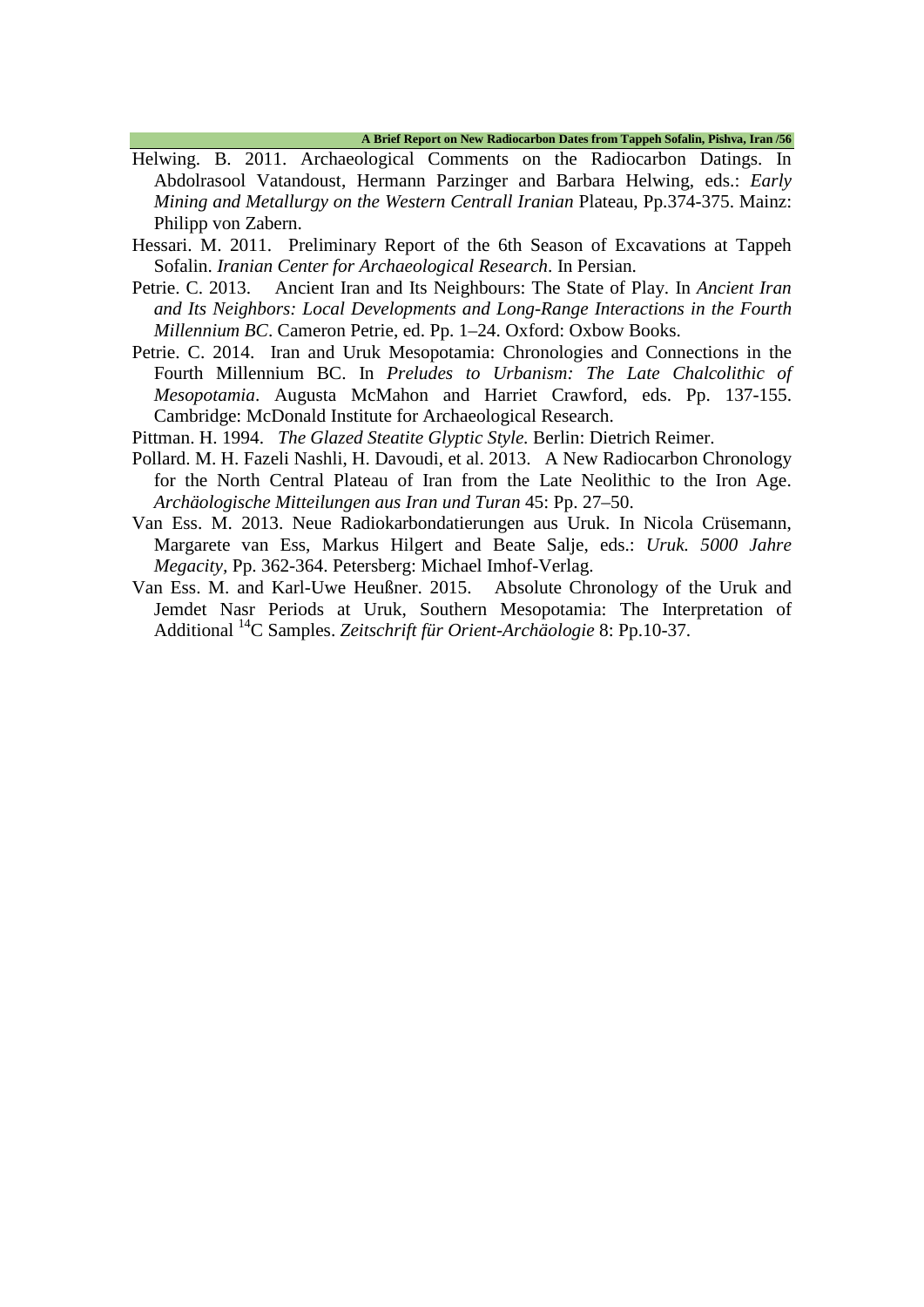- Helwing. B. 2011. Archaeological Comments on the Radiocarbon Datings. In Abdolrasool Vatandoust, Hermann Parzinger and Barbara Helwing, eds.: *Early Mining and Metallurgy on the Western Centrall Iranian* Plateau, Pp.374-375. Mainz: Philipp von Zabern.
- Hessari. M. 2011. Preliminary Report of the 6th Season of Excavations at Tappeh Sofalin. *Iranian Center for Archaeological Research*. In Persian.
- Petrie. C. 2013. Ancient Iran and Its Neighbours: The State of Play. In *Ancient Iran and Its Neighbors: Local Developments and Long-Range Interactions in the Fourth Millennium BC*. Cameron Petrie, ed. Pp. 1–24. Oxford: Oxbow Books.
- Petrie. C. 2014. Iran and Uruk Mesopotamia: Chronologies and Connections in the Fourth Millennium BC. In *Preludes to Urbanism: The Late Chalcolithic of Mesopotamia*. Augusta McMahon and Harriet Crawford, eds. Pp. 137-155. Cambridge: McDonald Institute for Archaeological Research.
- Pittman. H. 1994. *The Glazed Steatite Glyptic Style.* Berlin: Dietrich Reimer.
- Pollard. M. H. Fazeli Nashli, H. Davoudi, et al. 2013. A New Radiocarbon Chronology for the North Central Plateau of Iran from the Late Neolithic to the Iron Age. *Archäologische Mitteilungen aus Iran und Turan* 45: Pp. 27–50.
- Van Ess. M. 2013. Neue Radiokarbondatierungen aus Uruk. In Nicola Crüsemann, Margarete van Ess, Markus Hilgert and Beate Salje, eds.: *Uruk. 5000 Jahre Megacity*, Pp. 362-364. Petersberg: Michael Imhof-Verlag.<br>
In Ess. M. and Karl-Uwe Heußner. 2015. Absolute Chronology of the Uruk and
- Van Ess. M. and Karl-Uwe Heußner. 2015. Jemdet Nasr Periods at Uruk, Southern Mesopotamia: The Interpretation of Additional 14C Samples. *Zeitschrift für Orient-Archäologie* 8: Pp.10-37.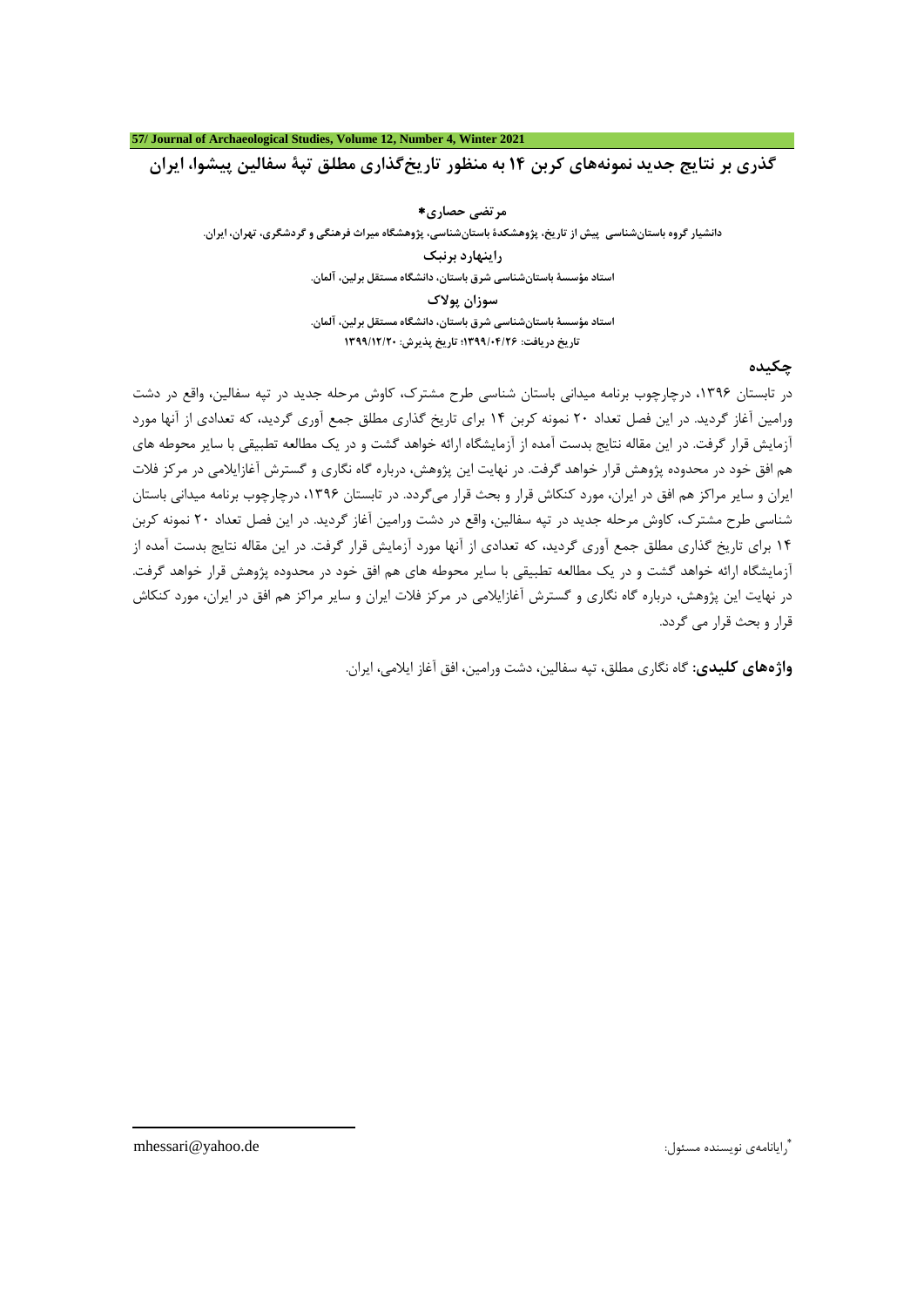**گذري بر نتایج جدید نمونههاي کربن 14 به منظور تاریخگذاري مطلق تپۀ سفالین پیشوا، ایران**

**مرتضی حصاري**[∗](#page-10-0) **دانشیار گروه باستانشناسی پیش از تاریخ، پژوهشکدة باستانشناسی، پژوهشگاه میراث فرهنگی و گردشگري، تهران، ایران.**

> **راینهارد برنبک استاد مؤسسۀ باستانشناسی شرق باستان، دانشگاه مستقل برلین، آلمان. سوزان پولاك استاد مؤسسۀ باستانشناسی شرق باستان، دانشگاه مستقل برلین، آلمان.**

**تاریخ دریافت: 1399/04/26؛ تاریخ پذیرش: 1399/12/20**

## **چکیده**

در تابستان ،1396 درچارچوب برنامه میدانی باستان شناسی طرح مشترك، کاوش مرحله جدید در تپه سفالین، واقع در دشت ورامین آغاز گردید. در این فصل تعداد 20 نمونه کربن 14 براي تاریخ گذاري مطلق جمع آوري گردید، که تعدادي از آنها مورد آزمایش قرار گرفت. در این مقاله نتایج بدست آمده از آزمایشگاه ارائه خواهد گشت و در یک مطالعه تطبیقی با سایر محوطه هاي هم افق خود در محدوده پژوهش قرار خواهد گرفت. در نهایت این پژوهش، درباره گاه نگاري و گسترش آغازایلامی در مرکز فلات ایران و سایر مراکز هم افق در ایران، مورد کنکاش قرار و بحث قرار میگردد. در تابستان ،1396 درچارچوب برنامه میدانی باستان شناسی طرح مشترك، کاوش مرحله جدید در تپه سفالین، واقع در دشت ورامین آغاز گردید. در این فصل تعداد 20 نمونه کربن 14 براي تاریخ گذاري مطلق جمع آوري گردید، که تعدادي از آنها مورد آزمایش قرار گرفت. در این مقاله نتایج بدست آمده از آزمایشگاه ارائه خواهد گشت و در یک مطالعه تطبیقی با سایر محوطه هاي هم افق خود در محدوده پژوهش قرار خواهد گرفت. در نهایت این پژوهش، درباره گاه نگاري و گسترش آغازایلامی در مرکز فلات ایران و سایر مراکز هم افق در ایران، مورد کنکاش قرار و بحث قرار می گردد.

**واژههاي کلیدي:** گاه نگاري مطلق، تپه سفالین، دشت ورامین، افق آغاز ایلامی، ایران.

de.yahoo@mhessari رایانامهي نویسنده مسئول: <sup>∗</sup>

<span id="page-10-0"></span>